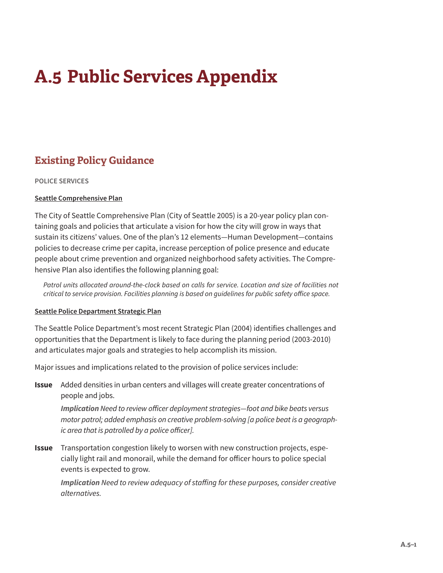# **A.5 Public Services Appendix**

# **Existing Policy Guidance**

### **POLICE SERVICES**

## **Seattle Comprehensive Plan**

The City of Seattle Comprehensive Plan (City of Seattle 2005) is a 20-year policy plan containing goals and policies that articulate a vision for how the city will grow in ways that sustain its citizens' values. One of the plan's 12 elements—Human Development—contains policies to decrease crime per capita, increase perception of police presence and educate people about crime prevention and organized neighborhood safety activities. The Comprehensive Plan also identifies the following planning goal:

*Patrol units allocated around-the-clock based on calls for service. Location and size of facilities not critical to service provision. Facilities planning is based on guidelines for public safety office space.*

### **Seattle Police Department Strategic Plan**

The Seattle Police Department's most recent Strategic Plan (2004) identifies challenges and opportunities that the Department is likely to face during the planning period (2003-2010) and articulates major goals and strategies to help accomplish its mission.

Major issues and implications related to the provision of police services include:

**Issue** Added densities in urban centers and villages will create greater concentrations of people and jobs.

*Implication Need to review officer deployment strategies—foot and bike beats versus motor patrol; added emphasis on creative problem-solving [a police beat is a geographic area that is patrolled by a police officer].*

**Issue** Transportation congestion likely to worsen with new construction projects, especially light rail and monorail, while the demand for officer hours to police special events is expected to grow.

*Implication Need to review adequacy of staffing for these purposes, consider creative alternatives.*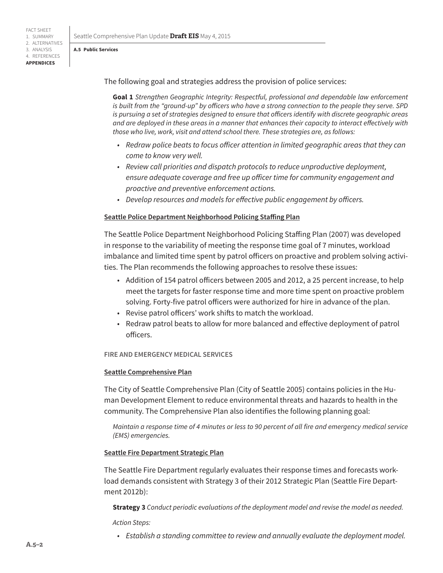FACT SHEET 1. SUMMARY 2. ALTERNATIVES 3. ANALYSIS 4. REFERENCES **APPENDICES**

**A.5 Public Services**

Seattle Comprehensive Plan Update **Draft EIS** May 4, 2015

## The following goal and strategies address the provision of police services:

**Goal 1** *Strengthen Geographic Integrity: Respectful, professional and dependable law enforcement is built from the "ground-up" by officers who have a strong connection to the people they serve. SPD is pursuing a set of strategies designed to ensure that officers identify with discrete geographic areas and are deployed in these areas in a manner that enhances their capacity to interact effectively with those who live, work, visit and attend school there. These strategies are, as follows:*

- *• Redraw police beats to focus officer attention in limited geographic areas that they can come to know very well.*
- *• Review call priorities and dispatch protocols to reduce unproductive deployment, ensure adequate coverage and free up officer time for community engagement and proactive and preventive enforcement actions.*
- *• Develop resources and models for effective public engagement by officers.*

### **Seattle Police Department Neighborhood Policing Staffing Plan**

The Seattle Police Department Neighborhood Policing Staffing Plan (2007) was developed in response to the variability of meeting the response time goal of 7 minutes, workload imbalance and limited time spent by patrol officers on proactive and problem solving activities. The Plan recommends the following approaches to resolve these issues:

- Addition of 154 patrol officers between 2005 and 2012, a 25 percent increase, to help meet the targets for faster response time and more time spent on proactive problem solving. Forty-five patrol officers were authorized for hire in advance of the plan.
- Revise patrol officers' work shifts to match the workload.
- Redraw patrol beats to allow for more balanced and effective deployment of patrol officers.

#### **FIRE AND EMERGENCY MEDICAL SERVICES**

### **Seattle Comprehensive Plan**

The City of Seattle Comprehensive Plan (City of Seattle 2005) contains policies in the Human Development Element to reduce environmental threats and hazards to health in the community. The Comprehensive Plan also identifies the following planning goal:

*Maintain a response time of 4 minutes or less to 90 percent of all fire and emergency medical service (EMS) emergencies.*

### **Seattle Fire Department Strategic Plan**

The Seattle Fire Department regularly evaluates their response times and forecasts workload demands consistent with Strategy 3 of their 2012 Strategic Plan (Seattle Fire Department 2012b):

**Strategy 3** *Conduct periodic evaluations of the deployment model and revise the model as needed.* 

*Action Steps:* 

*• Establish a standing committee to review and annually evaluate the deployment model.*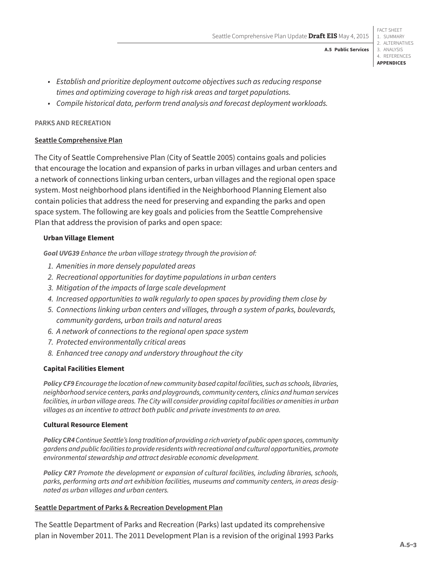#### FACT SHEET 1. SUMMARY 2. ALTERNATIVES 3. ANALYSIS

4. REFERENCES **APPENDICES**

**A.5 Public Services**

- *• Establish and prioritize deployment outcome objectives such as reducing response times and optimizing coverage to high risk areas and target populations.*
- *• Compile historical data, perform trend analysis and forecast deployment workloads.*

#### **PARKS AND RECREATION**

#### **Seattle Comprehensive Plan**

The City of Seattle Comprehensive Plan (City of Seattle 2005) contains goals and policies that encourage the location and expansion of parks in urban villages and urban centers and a network of connections linking urban centers, urban villages and the regional open space system. Most neighborhood plans identified in the Neighborhood Planning Element also contain policies that address the need for preserving and expanding the parks and open space system. The following are key goals and policies from the Seattle Comprehensive Plan that address the provision of parks and open space:

#### **Urban Village Element**

*Goal UVG39 Enhance the urban village strategy through the provision of:* 

- *1. Amenities in more densely populated areas*
- *2. Recreational opportunities for daytime populations in urban centers*
- *3. Mitigation of the impacts of large scale development*
- *4. Increased opportunities to walk regularly to open spaces by providing them close by*
- *5. Connections linking urban centers and villages, through a system of parks, boulevards, community gardens, urban trails and natural areas*
- *6. A network of connections to the regional open space system*
- *7. Protected environmentally critical areas*
- *8. Enhanced tree canopy and understory throughout the city*

#### **Capital Facilities Element**

*Policy CF9 Encourage the location of new community based capital facilities, such as schools, libraries, neighborhood service centers, parks and playgrounds, community centers, clinics and human services facilities, in urban village areas. The City will consider providing capital facilities or amenities in urban villages as an incentive to attract both public and private investments to an area.*

#### **Cultural Resource Element**

*Policy CR4 Continue Seattle's long tradition of providing a rich variety of public open spaces, community gardens and public facilities to provide residents with recreational and cultural opportunities, promote environmental stewardship and attract desirable economic development.*

*Policy CR7 Promote the development or expansion of cultural facilities, including libraries, schools, parks, performing arts and art exhibition facilities, museums and community centers, in areas designated as urban villages and urban centers.*

#### **Seattle Department of Parks & Recreation Development Plan**

The Seattle Department of Parks and Recreation (Parks) last updated its comprehensive plan in November 2011. The 2011 Development Plan is a revision of the original 1993 Parks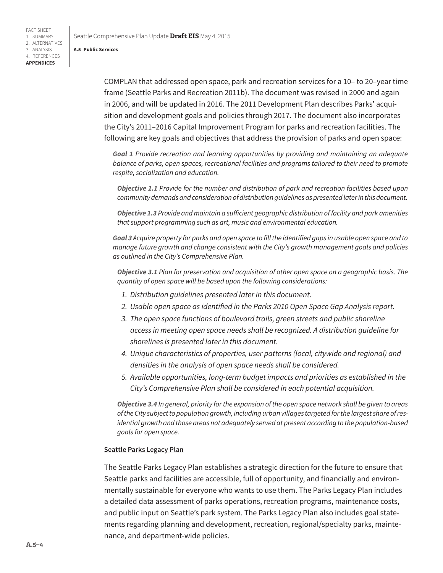#### **A.5 Public Services**

FACT SHEET 1. SUMMARY 2. ALTERNATIVES 3. ANALYSIS 4. REFERENCES **APPENDICES**

> COMPLAN that addressed open space, park and recreation services for a 10– to 20–year time frame (Seattle Parks and Recreation 2011b). The document was revised in 2000 and again in 2006, and will be updated in 2016. The 2011 Development Plan describes Parks' acquisition and development goals and policies through 2017. The document also incorporates the City's 2011–2016 Capital Improvement Program for parks and recreation facilities. The following are key goals and objectives that address the provision of parks and open space:

*Goal 1 Provide recreation and learning opportunities by providing and maintaining an adequate balance of parks, open spaces, recreational facilities and programs tailored to their need to promote respite, socialization and education.*

*Objective 1.1 Provide for the number and distribution of park and recreation facilities based upon community demands and consideration of distribution guidelines as presented later in this document.*

*Objective 1.3 Provide and maintain a sufficient geographic distribution of facility and park amenities that support programming such as art, music and environmental education.*

*Goal 3 Acquire property for parks and open space to fill the identified gaps in usable open space and to manage future growth and change consistent with the City's growth management goals and policies as outlined in the City's Comprehensive Plan.*

*Objective 3.1 Plan for preservation and acquisition of other open space on a geographic basis. The quantity of open space will be based upon the following considerations:*

- *1. Distribution guidelines presented later in this document.*
- *2. Usable open space as identified in the Parks 2010 Open Space Gap Analysis report.*
- *3. The open space functions of boulevard trails, green streets and public shoreline access in meeting open space needs shall be recognized. A distribution guideline for shorelines is presented later in this document.*
- *4. Unique characteristics of properties, user patterns (local, citywide and regional) and densities in the analysis of open space needs shall be considered.*
- *5. Available opportunities, long-term budget impacts and priorities as established in the City's Comprehensive Plan shall be considered in each potential acquisition.*

*Objective 3.4 In general, priority for the expansion of the open space network shall be given to areas of the City subject to population growth, including urban villages targeted for the largest share of residential growth and those areas not adequately served at present according to the population-based goals for open space.*

#### **Seattle Parks Legacy Plan**

The Seattle Parks Legacy Plan establishes a strategic direction for the future to ensure that Seattle parks and facilities are accessible, full of opportunity, and financially and environmentally sustainable for everyone who wants to use them. The Parks Legacy Plan includes a detailed data assessment of parks operations, recreation programs, maintenance costs, and public input on Seattle's park system. The Parks Legacy Plan also includes goal statements regarding planning and development, recreation, regional/specialty parks, maintenance, and department-wide policies.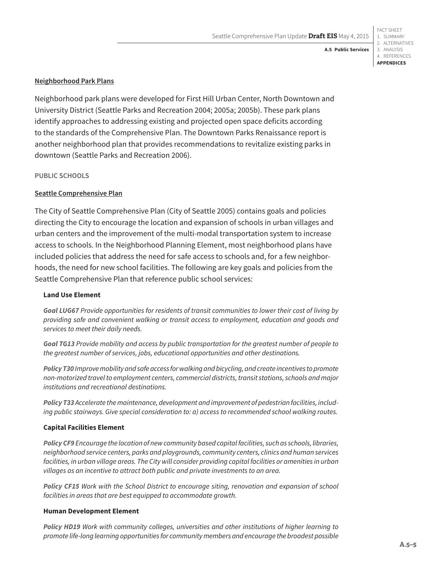**A.5 Public Services**

**Neighborhood Park Plans**

Neighborhood park plans were developed for First Hill Urban Center, North Downtown and University District (Seattle Parks and Recreation 2004; 2005a; 2005b). These park plans identify approaches to addressing existing and projected open space deficits according to the standards of the Comprehensive Plan. The Downtown Parks Renaissance report is another neighborhood plan that provides recommendations to revitalize existing parks in downtown (Seattle Parks and Recreation 2006).

**PUBLIC SCHOOLS**

#### **Seattle Comprehensive Plan**

The City of Seattle Comprehensive Plan (City of Seattle 2005) contains goals and policies directing the City to encourage the location and expansion of schools in urban villages and urban centers and the improvement of the multi-modal transportation system to increase access to schools. In the Neighborhood Planning Element, most neighborhood plans have included policies that address the need for safe access to schools and, for a few neighborhoods, the need for new school facilities. The following are key goals and policies from the Seattle Comprehensive Plan that reference public school services:

#### **Land Use Element**

*Goal LUG67 Provide opportunities for residents of transit communities to lower their cost of living by providing safe and convenient walking or transit access to employment, education and goods and services to meet their daily needs.*

*Goal TG13 Provide mobility and access by public transportation for the greatest number of people to the greatest number of services, jobs, educational opportunities and other destinations.*

*Policy T30 Improve mobility and safe access for walking and bicycling, and create incentives to promote non-motorized travel to employment centers, commercial districts, transit stations, schools and major institutions and recreational destinations.* 

*Policy T33 Accelerate the maintenance, development and improvement of pedestrian facilities, including public stairways. Give special consideration to: a) access to recommended school walking routes.* 

#### **Capital Facilities Element**

*Policy CF9 Encourage the location of new community based capital facilities, such as schools, libraries, neighborhood service centers, parks and playgrounds, community centers, clinics and human services facilities, in urban village areas. The City will consider providing capital facilities or amenities in urban villages as an incentive to attract both public and private investments to an area.*

*Policy CF15 Work with the School District to encourage siting, renovation and expansion of school facilities in areas that are best equipped to accommodate growth.* 

#### **Human Development Element**

*Policy HD19 Work with community colleges, universities and other institutions of higher learning to promote life-long learning opportunities for community members and encourage the broadest possible*